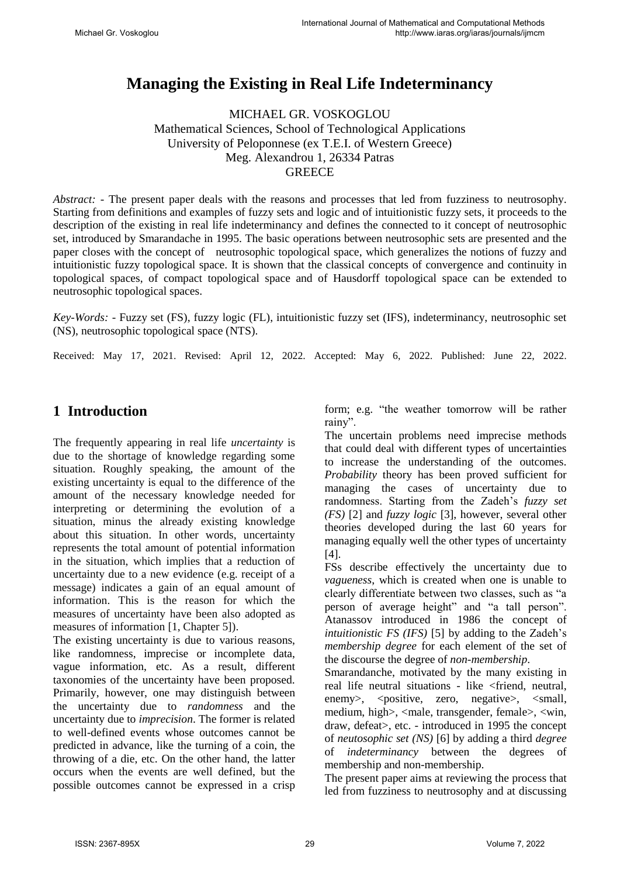# **Managing the Existing in Real Life Indeterminancy**

MICHAEL GR. VOSKOGLOU Mathematical Sciences, School of Technological Applications University of Peloponnese (ex T.E.I. of Western Greece) Meg. Alexandrou 1, 26334 Patras **GREECE** 

*Abstract:* - The present paper deals with the reasons and processes that led from fuzziness to neutrosophy. Starting from definitions and examples of fuzzy sets and logic and of intuitionistic fuzzy sets, it proceeds to the description of the existing in real life indeterminancy and defines the connected to it concept of neutrosophic set, introduced by Smarandache in 1995. The basic operations between neutrosophic sets are presented and the paper closes with the concept of neutrosophic topological space, which generalizes the notions of fuzzy and intuitionistic fuzzy topological space. It is shown that the classical concepts of convergence and continuity in topological spaces, of compact topological space and of Hausdorff topological space can be extended to neutrosophic topological spaces.

*Key-Words: -* Fuzzy set (FS), fuzzy logic (FL), intuitionistic fuzzy set (IFS), indeterminancy, neutrosophic set (NS), neutrosophic topological space (NTS).

Received: May 17, 2021. Revised: April 12, 2022. Accepted: May 6, 2022. Published: June 22, 2022.

## **1 Introduction**

The frequently appearing in real life *uncertainty* is due to the shortage of knowledge regarding some situation. Roughly speaking, the amount of the existing uncertainty is equal to the difference of the amount of the necessary knowledge needed for interpreting or determining the evolution of a situation, minus the already existing knowledge about this situation. In other words, uncertainty represents the total amount of potential information in the situation, which implies that a reduction of uncertainty due to a new evidence (e.g. receipt of a message) indicates a gain of an equal amount of information. This is the reason for which the measures of uncertainty have been also adopted as measures of information [1, Chapter 5]).

The existing uncertainty is due to various reasons, like randomness, imprecise or incomplete data, vague information, etc. As a result, different taxonomies of the uncertainty have been proposed. Primarily, however, one may distinguish between the uncertainty due to *randomness* and the uncertainty due to *imprecision*. The former is related to well-defined events whose outcomes cannot be predicted in advance, like the turning of a coin, the throwing of a die, etc. On the other hand, the latter occurs when the events are well defined, but the possible outcomes cannot be expressed in a crisp form; e.g. "the weather tomorrow will be rather rainy".

The uncertain problems need imprecise methods that could deal with different types of uncertainties to increase the understanding of the outcomes. *Probability* theory has been proved sufficient for managing the cases of uncertainty due to randomness. Starting from the Zadeh's *fuzzy set (FS)* [2] and *fuzzy logic* [3], however, several other theories developed during the last 60 years for managing equally well the other types of uncertainty [4].

FSs describe effectively the uncertainty due to *vagueness*, which is created when one is unable to clearly differentiate between two classes, such as "a person of average height" and "a tall person". Atanassov introduced in 1986 the concept of *intuitionistic FS (IFS)* [5] by adding to the Zadeh's *membership degree* for each element of the set of the discourse the degree of *non-membership*.

Smarandanche, motivated by the many existing in real life neutral situations - like <friend, neutral, enemy>, <positive, zero, negative>, <small, medium, high>, <male, transgender, female>, <win, draw, defeat>, etc. - introduced in 1995 the concept of *neutosophic set (NS)* [6] by adding a third *degree*  of *indeterminancy* between the degrees of membership and non-membership.

The present paper aims at reviewing the process that led from fuzziness to neutrosophy and at discussing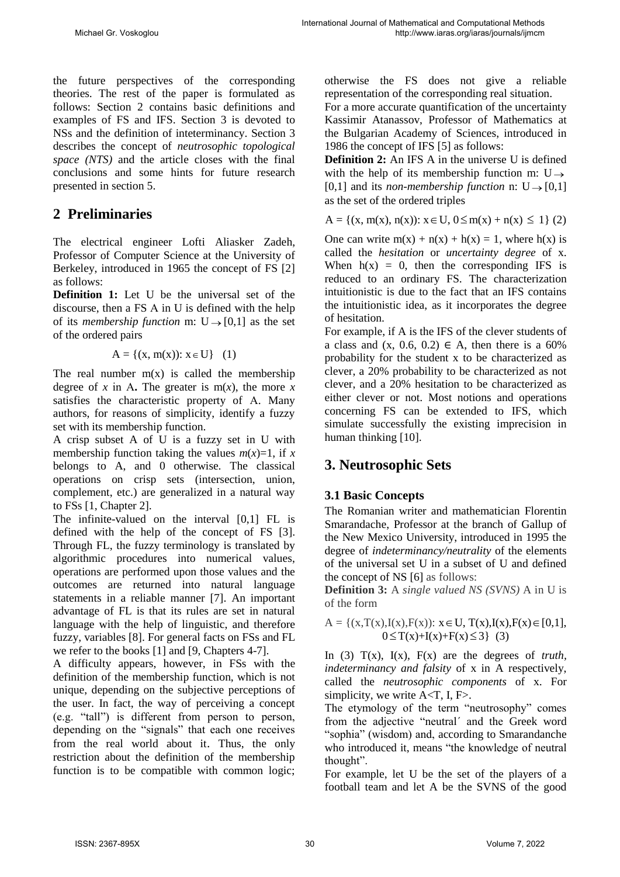the future perspectives of the corresponding theories. The rest of the paper is formulated as follows: Section 2 contains basic definitions and examples of FS and IFS. Section 3 is devoted to NSs and the definition of inteterminancy. Section 3 describes the concept of *neutrosophic topological space (NTS)* and the article closes with the final conclusions and some hints for future research presented in section 5.

# **2 Preliminaries**

The electrical engineer Lofti Aliasker Zadeh, Professor of Computer Science at the University of Berkeley, introduced in 1965 the concept of FS [2] as follows:

**Definition 1:** Let U be the universal set of the discourse, then a FS Α in U is defined with the help of its *membership function* m:  $U \rightarrow [0,1]$  as the set of the ordered pairs

 $A = \{(x, m(x)) : x \in U\}$  (1)

The real number  $m(x)$  is called the membership degree of *x* in A. The greater is m(*x*), the more *x* satisfies the characteristic property of Α. Many authors, for reasons of simplicity, identify a fuzzy set with its membership function.

A crisp subset A of U is a fuzzy set in U with membership function taking the values  $m(x)=1$ , if x belongs to A, and 0 otherwise. The classical operations on crisp sets (intersection, union, complement, etc.) are generalized in a natural way to FSs [1, Chapter 2].

The infinite-valued on the interval [0,1] FL is defined with the help of the concept of FS [3]. Through FL, the fuzzy terminology is translated by algorithmic procedures into numerical values, operations are performed upon those values and the outcomes are returned into natural language statements in a reliable manner [7]. An important advantage of FL is that its rules are set in natural language with the help of linguistic, and therefore fuzzy, variables [8]. For general facts on FSs and FL we refer to the books [1] and [9, Chapters 4-7].

A difficulty appears, however, in FSs with the definition of the membership function, which is not unique, depending on the subjective perceptions of the user. In fact, the way of perceiving a concept (e.g. "tall") is different from person to person, depending on the "signals" that each one receives from the real world about it. Thus, the only restriction about the definition of the membership function is to be compatible with common logic; otherwise the FS does not give a reliable representation of the corresponding real situation.

For a more accurate quantification of the uncertainty Kassimir Atanassov, Professor of Mathematics at the Bulgarian Academy of Sciences, introduced in 1986 the concept of IFS [5] as follows:

**Definition 2:** An IFS A in the universe U is defined with the help of its membership function m: U  $\rightarrow$  $[0,1]$  and its *non-membership function* n:  $U \rightarrow [0,1]$ as the set of the ordered triples

 $A = \{(x, m(x), n(x)) : x \in U, 0 \le m(x) + n(x) \le 1\}$  (2)

One can write  $m(x) + n(x) + h(x) = 1$ , where  $h(x)$  is called the *hesitation* or *uncertainty degree* of x. When  $h(x) = 0$ , then the corresponding IFS is reduced to an ordinary FS. The characterization intuitionistic is due to the fact that an IFS contains the intuitionistic idea, as it incorporates the degree of hesitation.

For example, if A is the IFS of the clever students of a class and  $(x, 0.6, 0.2) \in A$ , then there is a 60% probability for the student x to be characterized as clever, a 20% probability to be characterized as not clever, and a 20% hesitation to be characterized as either clever or not. Most notions and operations concerning FS can be extended to IFS, which simulate successfully the existing imprecision in human thinking [10].

### **3. Neutrosophic Sets**

#### **3.1 Basic Concepts**

The Romanian writer and mathematician Florentin Smarandache, Professor at the branch of Gallup of the New Mexico University, introduced in 1995 the degree of *indeterminancy/neutrality* of the elements of the universal set U in a subset of U and defined the concept of NS [6] as follows:

**Definition 3:** A *single valued NS (SVNS)* A in U is of the form

A = { $(x,T(x),I(x),F(x))$ :  $x \in U$ ,  $T(x),I(x),F(x) \in [0,1]$ ,  $0 \leq T(x)+I(x)+F(x) \leq 3$  (3)

In (3)  $T(x)$ ,  $I(x)$ ,  $F(x)$  are the degrees of *truth*, *indeterminancy and falsity* of x in A respectively, called the *neutrosophic components* of x. For simplicity, we write  $A < T$ , I, F $>$ .

The etymology of the term "neutrosophy" comes from the adjective "neutral´ and the Greek word "sophia" (wisdom) and, according to Smarandanche who introduced it, means "the knowledge of neutral thought".

For example, let U be the set of the players of a football team and let A be the SVNS of the good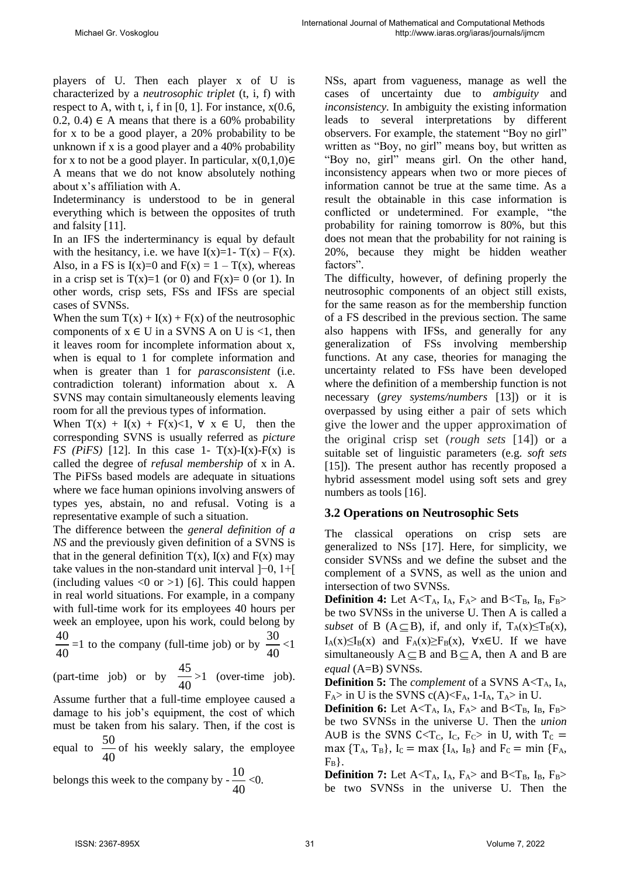players of U. Then each player x of U is characterized by a *neutrosophic triplet* (t, i, f) with respect to A, with t, i, f in  $[0, 1]$ . For instance,  $x(0.6, 1)$ 0.2, 0.4)  $\in$  A means that there is a 60% probability for x to be a good player, a 20% probability to be unknown if x is a good player and a 40% probability for x to not be a good player. In particular,  $x(0,1,0) \in$ A means that we do not know absolutely nothing about x's affiliation with A.

Indeterminancy is understood to be in general everything which is between the opposites of truth and falsity [11].

In an IFS the inderterminancy is equal by default with the hesitancy, i.e. we have  $I(x)=1-T(x) - F(x)$ . Also, in a FS is  $I(x)=0$  and  $F(x) = 1 - T(x)$ , whereas in a crisp set is  $T(x)=1$  (or 0) and  $F(x)=0$  (or 1). In other words, crisp sets, FSs and IFSs are special cases of SVNSs.

When the sum  $T(x) + I(x) + F(x)$  of the neutrosophic components of  $x \in U$  in a SVNS A on U is <1, then it leaves room for incomplete information about x, when is equal to 1 for complete information and when is greater than 1 for *parasconsistent* (i.e. contradiction tolerant) information about x. A SVNS may contain simultaneously elements leaving room for all the previous types of information.

When  $T(x) + I(x) + F(x) < 1$ ,  $\forall x \in U$ , then the corresponding SVNS is usually referred as *picture FS* (*PiFS*) [12]. In this case 1-  $T(x)$ - $I(x)$ - $F(x)$  is called the degree of *refusal membership* of x in A. The PiFSs based models are adequate in situations where we face human opinions involving answers of types yes, abstain, no and refusal. Voting is a representative example of such a situation.

The difference between the *general definition of a NS* and the previously given definition of a SVNS is that in the general definition  $T(x)$ ,  $I(x)$  and  $F(x)$  may take values in the non-standard unit interval ]−0, 1+[ (including values  $\langle 0 \text{ or } \rangle$ ) [6]. This could happen in real world situations. For example, in a company with full-time work for its employees 40 hours per week an employee, upon his work, could belong by 40 40 =1 to the company (full-time job) or by  $\frac{30}{10}$ 40  $\leq$ 1

(part-time job) or by  $\frac{45}{10}$ 40 >1 (over-time job).

Assume further that a full-time employee caused a damage to his job's equipment, the cost of which must be taken from his salary. Then, if the cost is equal to  $\frac{50}{10}$ 40 of his weekly salary, the employee

belongs this week to the company by  $\frac{10}{10}$ 40  $<$  0. NSs, apart from vagueness, manage as well the cases of uncertainty due to *ambiguity* and *inconsistency.* In ambiguity the existing information leads to several interpretations by different observers. For example, the statement "Boy no girl" written as "Boy, no girl" means boy, but written as "Boy no, girl" means girl. On the other hand, inconsistency appears when two or more pieces of information cannot be true at the same time. As a result the obtainable in this case information is conflicted or undetermined. For example, "the probability for raining tomorrow is 80%, but this does not mean that the probability for not raining is 20%, because they might be hidden weather factors".

The difficulty, however, of defining properly the neutrosophic components of an object still exists, for the same reason as for the membership function of a FS described in the previous section. The same also happens with IFSs, and generally for any generalization of FSs involving membership functions. At any case, theories for managing the uncertainty related to FSs have been developed where the definition of a membership function is not necessary (*grey systems/numbers* [13]) or it is overpassed by using either a pair of sets which give the lower and the upper approximation of the original crisp set (*rough sets* [14]) or a suitable set of linguistic parameters (e.g. *soft sets* [15]). The present author has recently proposed a hybrid assessment model using soft sets and grey numbers as tools [16].

#### **3.2 Operations on Neutrosophic Sets**

The classical operations on crisp sets are generalized to NSs [17]. Here, for simplicity, we consider SVNSs and we define the subset and the complement of a SVNS, as well as the union and intersection of two SVNSs.

**Definition 4:** Let  $A < T_A$ ,  $I_A$ ,  $F_A$  and  $B < T_B$ ,  $I_B$ ,  $F_B$ be two SVNSs in the universe U. Then A is called a *subset* of B ( $A \subseteq B$ ), if, and only if,  $T_A(x) \leq T_B(x)$ ,  $I_A(x) \leq I_B(x)$  and  $F_A(x) \geq F_B(x)$ ,  $\forall x \in U$ . If we have simultaneously  $A \subseteq B$  and  $B \subseteq A$ , then A and B are *equal* (A=B) SVNSs.

**Definition 5:** The *complement* of a SVNS A<TA, IA,  $F_A$ > in U is the SVNS c(A)<F<sub>A</sub>, 1-I<sub>A</sub>, T<sub>A</sub>> in U.

**Definition 6:** Let  $A < T_A$ ,  $I_A$ ,  $F_A$  and  $B < T_B$ ,  $I_B$ ,  $F_B$ be two SVNSs in the universe U. Then the *union*  A∪B is the SVNS C<T<sub>C</sub>, I<sub>C</sub>, F<sub>C</sub>> in U, with T<sub>C</sub> = max  ${T_A, T_B}$ ,  ${I_C = max {I_A, I_B}}$  and  ${F_C = min {F_A}}$  $F_{\rm B}$ .

**Definition 7:** Let  $A < T_A$ ,  $I_A$ ,  $F_A >$  and  $B < T_B$ ,  $I_B$ ,  $F_B >$ be two SVNSs in the universe U. Then the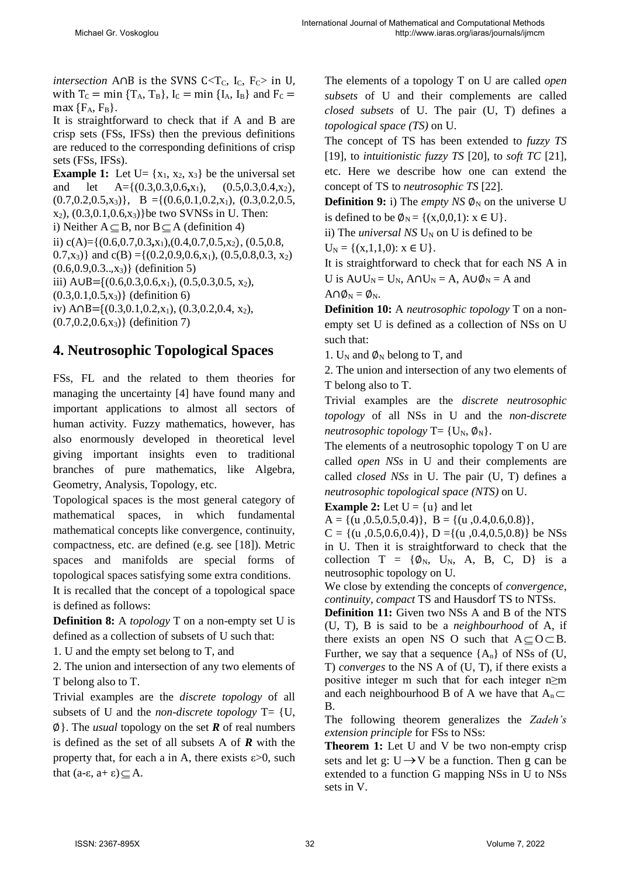*intersection* A∩B is the SVNS C<T<sub>C</sub>, I<sub>C</sub>, F<sub>C</sub>> in U, with  $T_c = \min \{T_A, T_B\}$ ,  $I_c = \min \{I_A, I_B\}$  and  $F_c =$ max  ${F_A, F_B}.$ 

It is straightforward to check that if A and B are crisp sets (FSs, IFSs) then the previous definitions are reduced to the corresponding definitions of crisp sets (FSs, IFSs).

**Example 1:** Let  $U = \{x_1, x_2, x_3\}$  be the universal set and let  $A = \{(0.3, 0.3, 0.6, x_1), (0.5, 0.3, 0.4, x_2),$  $(0.7, 0.2, 0.5, x_3)$ , B ={ $(0.6, 0.1, 0.2, x_1)$ ,  $(0.3, 0.2, 0.5,$  $x_2$ ,  $(0.3, 0.1, 0.6, x_3)$ }be two SVNSs in U. Then: i) Neither  $A \subseteq B$ , nor  $B \subseteq A$  (definition 4) ii) c(A)= $\{(0.6, 0.7, 0.3, x_1), (0.4, 0.7, 0.5, x_2), (0.5, 0.8,$ 0.7,x<sub>3</sub>)} and c(B) ={(0.2,0.9,0.6,x<sub>1</sub>), (0.5,0.8,0.3, x<sub>2</sub>)  $(0.6, 0.9, 0.3, .0, x_3)$  (definition 5) iii) A∪B= ${(0.6, 0.3, 0.6, x_1), (0.5, 0.3, 0.5, x_2)}$ ,  $(0.3, 0.1, 0.5, x_3)$  (definition 6) iv) A∩B= $\{(0.3, 0.1, 0.2, x_1), (0.3, 0.2, 0.4, x_2),$  $(0.7, 0.2, 0.6, x_3)$  (definition 7)

# **4. Neutrosophic Topological Spaces**

FSs, FL and the related to them theories for managing the uncertainty [4] have found many and important applications to almost all sectors of human activity. Fuzzy mathematics, however, has also enormously developed in theoretical level giving important insights even to traditional branches of pure mathematics, like Algebra, Geometry, Analysis, Topology, etc.

Topological spaces is the most general category of mathematical spaces, in which fundamental mathematical concepts like convergence, continuity, compactness, etc. are defined (e.g. see [18]). Metric spaces and manifolds are special forms of topological spaces satisfying some extra conditions.

It is recalled that the concept of a topological space is defined as follows:

**Definition 8:** A *topology* T on a non-empty set U is defined as a collection of subsets of U such that:

1. U and the empty set belong to T, and

2. The union and intersection of any two elements of T belong also to T.

Trivial examples are the *discrete topology* of all subsets of U and the *non-discrete topology* T= {U, ∅}. The *usual* topology on the set *R* of real numbers is defined as the set of all subsets A of *R* with the property that, for each a in A, there exists  $\varepsilon > 0$ , such that  $(a-\varepsilon, a+\varepsilon) \subseteq A$ .

The elements of a topology T on U are called *open subsets* of U and their complements are called *closed subsets* of U. The pair (U, T) defines a *topological space (TS)* on U.

The concept of TS has been extended to *fuzzy TS*  [19], to *intuitionistic fuzzy TS* [20], to *soft TC* [21], etc. Here we describe how one can extend the concept of TS to *neutrosophic TS* [22].

**Definition 9:** i) The *empty NS*  $\phi_N$  on the universe U is defined to be  $\phi_N = \{(x,0,0,1): x \in U\}.$ 

ii) The *universal NS*  $U_N$  on U is defined to be  $U_N = \{(x,1,1,0): x \in U\}.$ 

It is straightforward to check that for each NS A in U is  $AUU_N = U_N$ ,  $A \cap U_N = A$ ,  $A \cup \emptyset_N = A$  and  $A \cap \emptyset_N = \emptyset_N$ .

**Definition 10:** A *neutrosophic topology* T on a nonempty set U is defined as a collection of NSs on U such that:

1. U<sub>N</sub> and  $\phi_N$  belong to T, and

2. The union and intersection of any two elements of T belong also to T.

Trivial examples are the *discrete neutrosophic topology* of all NSs in U and the *non-discrete neutrosophic topology*  $T = \{U_N, \emptyset_N\}$ .

The elements of a neutrosophic topology T on U are called *open NSs* in U and their complements are called *closed NSs* in U. The pair (U, T) defines a *neutrosophic topological space (NTS)* on U.

**Example 2:** Let  $U = \{u\}$  and let

 $A = \{(u, 0.5, 0.5, 0.4)\}, B = \{(u, 0.4, 0.6, 0.8)\},\$ 

 $C = \{(u, 0.5, 0.6, 0.4)\}, D = \{(u, 0.4, 0.5, 0.8)\}$  be NSs in U. Then it is straightforward to check that the collection  $T = {\emptyset_N, U_N, A, B, C, D}$  is a neutrosophic topology on U.

We close by extending the concepts of *convergence*, *continuity*, *compact* TS and Hausdorf TS to NTSs.

**Definition 11:** Given two NSs A and B of the NTS (U, T), B is said to be a *neighbourhood* of A, if there exists an open NS O such that  $A \subseteq O \subset B$ . Further, we say that a sequence  ${A_n}$  of NSs of (U, T) *converges* to the NS A of (U, T), if there exists a positive integer m such that for each integer n≥m and each neighbourhood B of A we have that  $A_n \subset$ B.

The following theorem generalizes the *Zadeh's extension principle* for FSs to NSs:

**Theorem 1:** Let U and V be two non-empty crisp sets and let  $g: U \rightarrow V$  be a function. Then g can be extended to a function G mapping NSs in U to NSs sets in V.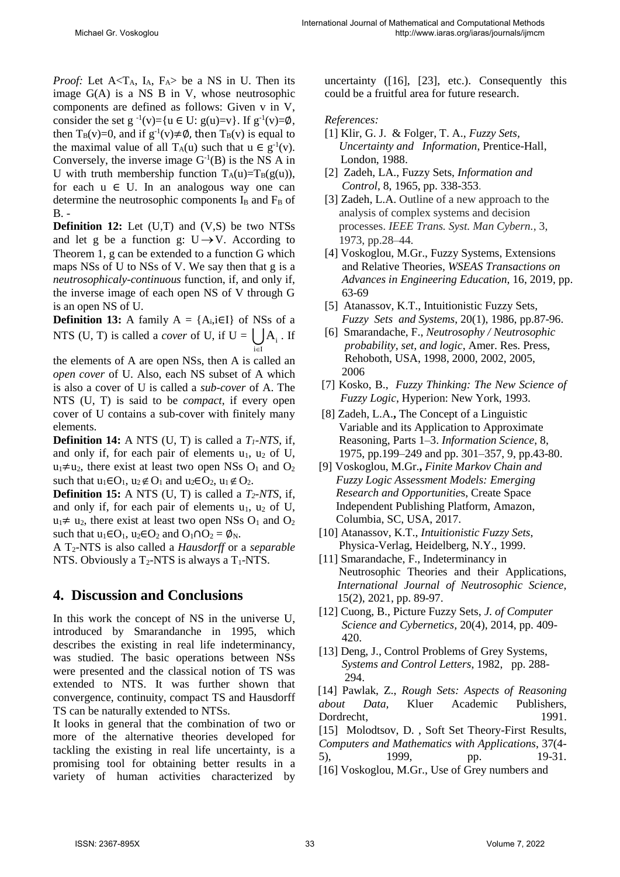*Proof:* Let  $A < T_A$ ,  $I_A$ ,  $F_A >$  be a NS in U. Then its image G(A) is a NS B in V, whose neutrosophic components are defined as follows: Given v in V, consider the set g  $^{-1}(v) = \{u \in U: g(u) = v\}$ . If g<sup>-1</sup>(v)= $\emptyset$ , then T<sub>B</sub>(v)=0, and if  $g^{-1}(v) \neq \emptyset$ , then T<sub>B</sub>(v) is equal to the maximal value of all T<sub>A</sub>(u) such that  $u \in g^{-1}(v)$ . Conversely, the inverse image  $G^{-1}(B)$  is the NS A in U with truth membership function  $T_A(u)=T_B(g(u))$ , for each  $u \in U$ . In an analogous way one can determine the neutrosophic components  $I_B$  and  $F_B$  of  $B -$ 

**Definition 12:** Let (U,T) and (V,S) be two NTSs and let g be a function g:  $U \rightarrow V$ . According to Theorem 1, g can be extended to a function G which maps NSs of U to NSs of V. We say then that g is a *neutrosophicaly-continuous* function, if, and only if, the inverse image of each open NS of V through G is an open NS of U.

**Definition 13:** A family  $A = \{A_i, i \in I\}$  of NSs of a NTS (U, T) is called a *cover* of U, if  $U = \bigcup A_i$ . If i∈I  $\in$ 

the elements of A are open NSs, then A is called an *open cover* of U. Also, each NS subset of A which is also a cover of U is called a *sub-cover* of A. The NTS (U, T) is said to be *compact*, if every open cover of U contains a sub-cover with finitely many elements.

**Definition 14:** A NTS (U, T) is called a *T1-NTS*, if, and only if, for each pair of elements  $u_1$ ,  $u_2$  of U,  $u_1 \neq u_2$ , there exist at least two open NSs O<sub>1</sub> and O<sub>2</sub> such that  $u_1 \in O_1$ ,  $u_2 \notin O_1$  and  $u_2 \in O_2$ ,  $u_1 \notin O_2$ .

**Definition 15:** A NTS (U, T) is called a *T2-NTS*, if, and only if, for each pair of elements  $u_1$ ,  $u_2$  of U,  $u_1 \neq u_2$ , there exist at least two open NSs O<sub>1</sub> and O<sub>2</sub> such that  $u_1 \in O_1$ ,  $u_2 \in O_2$  and  $O_1 \cap O_2 = \emptyset$ <sub>N</sub>.

A T2-NTS is also called a *Hausdorff* or a *separable* NTS. Obviously a  $T_2$ -NTS is always a  $T_1$ -NTS.

### **4. Discussion and Conclusions**

In this work the concept of NS in the universe U, introduced by Smarandanche in 1995, which describes the existing in real life indeterminancy, was studied. The basic operations between NSs were presented and the classical notion of TS was extended to NTS. It was further shown that convergence, continuity, compact TS and Hausdorff TS can be naturally extended to NTSs.

It looks in general that the combination of two or more of the alternative theories developed for tackling the existing in real life uncertainty, is a promising tool for obtaining better results in a variety of human activities characterized by

uncertainty ([16], [23], etc.). Consequently this could be a fruitful area for future research.

#### *References:*

- [1] Klir, G. J. & Folger, T. A., *Fuzzy Sets, Uncertainty and Information*, Prentice-Hall, London, 1988.
- [2] Zadeh, LA., Fuzzy Sets, *Information and Control*, 8, 1965, pp. 338-353.
- [3] Zadeh, L.A. Outline of a new approach to the analysis of complex systems and decision processes. *IEEE Trans. Syst. Man Cybern.*, 3, 1973, pp.28–44.
- [4] Voskoglou, M.Gr., Fuzzy Systems, Extensions and Relative Theories, *WSEAS Transactions on Advances in Engineering Education*, 16, 2019, pp. 63-69
- [5] Atanassov, K.T., Intuitionistic Fuzzy Sets, *Fuzzy Sets and Systems*, 20(1), 1986, pp.87-96.
- [6] Smarandache, F., *Neutrosophy / Neutrosophic probability, set, and logic*, Amer. Res. Press, Rehoboth, USA, 1998, 2000, 2002, 2005, 2006
- [7] Kosko, B., *Fuzzy Thinking: The New Science of Fuzzy Logic*, Hyperion: New York, 1993.
- [8] Zadeh, L.A.**,** The Concept of a Linguistic Variable and its Application to Approximate Reasoning, Parts 1–3. *Information Science*, 8, 1975, pp.199–249 and pp. 301–357, 9, pp.43-80.
- [9] Voskoglou, M.Gr.**,** *Finite Markov Chain and Fuzzy Logic Assessment Models: Emerging Research and Opportunitie*s, Create Space Independent Publishing Platform, Amazon, Columbia, SC, USA, 2017.
- [10] Atanassov, K.T., *Intuitionistic Fuzzy Sets*, Physica-Verlag, Heidelberg, N.Y., 1999.
- [11] Smarandache, F., Indeterminancy in Neutrosophic Theories and their Applications, *International Journal of Neutrosophic Science,*  15(2), 2021, pp. 89-97.
- [12] Cuong, B., Picture Fuzzy Sets, *J. of Computer Science and Cybernetics,* 20(4), 2014, pp. 409- 420.
- [13] Deng, J., Control Problems of Grey Systems, *Systems and Control Letters*, 1982, pp. 288- 294.

 [14] Pawlak, Z., *Rough Sets: Aspects of Reasoning about Data,* Kluer Academic Publishers, Dordrecht, 1991.

[15] Molodtsov, D., Soft Set Theory-First Results, *Computers and Mathematics with Applications*, 37(4- 5), 1999, pp. 19-31.

[16] Voskoglou, M.Gr., Use of Grey numbers and